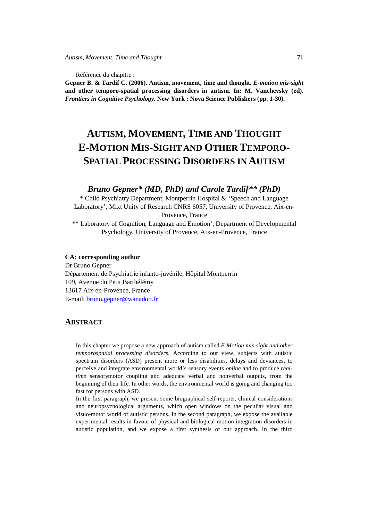Référence du chapitre :

**Gepner B. & Tardif C. (2006). Autism, movement, time and thought.** *E-motion mis-sight* **and other temporo-spatial processing disorders in autism. In: M. Vanchevsky (ed).**  *Frontiers in Cognitive Psychology.* **New York : Nova Science Publishers (pp. 1-30).** 

# **AUTISM, MOVEMENT, TIME AND THOUGHT E-MOTION MIS-SIGHT AND OTHER TEMPORO-SPATIAL PROCESSING DISORDERS IN AUTISM**

# *Bruno Gepner\* (MD, PhD) and Carole Tardif\*\* (PhD)*

\* Child Psychiatry Department, Montperrin Hospital & 'Speech and Language Laboratory', Mixt Unity of Research CNRS 6057, University of Provence, Aix-en-Provence, France

\*\* Laboratory of Cognition, Language and Emotion', Department of Developmental Psychology, University of Provence, Aix-en-Provence, France

#### **CA: corresponding author**

Dr Bruno Gepner Département de Psychiatrie infanto-juvénile, Hôpital Montperrin 109, Avenue du Petit Barthélémy 13617 Aix-en-Provence, France E-mail: bruno.gepner@wanadoo.fr

# **ABSTRACT**

In this chapter we propose a new approach of autism called *E-Motion mis-sight and other temporospatial processing disorders*. According to our view, subjects with autistic spectrum disorders (ASD) present more or less disabilities, delays and deviances, to perceive and integrate environmental world's sensory events *online* and to produce *realtime* sensorymotor coupling and adequate verbal and nonverbal outputs, from the beginning of their life. In other words, the environmental world is going and changing too fast for persons with ASD.

In the first paragraph, we present some biographical self-reports, clinical considerations and neuropsychological arguments, which open windows on the peculiar visual and visuo-motor world of autistic persons. In the second paragraph, we expose the available experimental results in favour of physical and biological motion integration disorders in autistic population, and we expose a first synthesis of our approach. In the third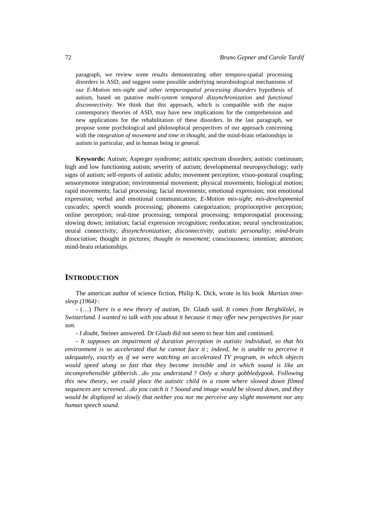paragraph, we review some results demonstrating other temporo-spatial processing disorders in ASD, and suggest some possible underlying neurobiological mechanisms of our *E-Motion mis-sight and other temporospatial processing disorders* hypothesis of autism, based on putative *multi-system temporal dissynchronization* and *functional disconnectivity*. We think that this approach, which is compatible with the major contemporary theories of ASD, may have new implications for the comprehension and new applications for the rehabilitation of these disorders. In the last paragraph, we propose some psychological and philosophical perspectives of our approach concerning with the *integration of movement and time in thought*, and the mind-brain relationships in autism in particular, and in human being in general.

**Keywords:** Autism; Asperger syndrome; autistic spectrum disorders; autistic continuum; high and low functioning autism; severity of autism; developmental neuropsychology; early signs of autism; self-reports of autistic adults; movement perception; visuo-postural coupling; sensorymotor integration; environmental movement; physical movements; biological motion; rapid movements; facial processing; facial movements; emotional expression; non emotional expression; verbal and emotional communication; *E-Motion mis-sight*; *mis-developmental cascades*; speech sounds processing; phonems categorization; proprioceptive perception; online perception; real-time processing; temporal processing; temporospatial processing; slowing down; imitation; facial expression recognition; reeducation; neural synchronization; neural connectivity; *dissynchronization*; *disconnectivity*; *autistic personality*; *mind-brain dissociation*; thought in pictures; *thought in movement*; consciousness; intention; attention; mind-brain relationships.

### **INTRODUCTION**

The american author of science fiction, Philip K. Dick, wrote in his book *Martian timesleep (1964)* :

- (…) *There is a new theory of autism,* Dr. Glaub said*. It comes from Berghölzlei, in Switzerland. I wanted to talk with you about it because it may offer new perspectives for your son.* 

- *I doubt,* Steiner answered*.* Dr Glaub did not seem to hear him and continued.

- *It supposes an impairment of duration perception in autistic individual, so that his*  environment is so accelerated that he cannot face it; indeed, he is unable to perceive it *adequately, exactly as if we were watching an accelerated TV program, in which objects would speed along so fast that they become invisible and in which sound is like an incomprehensible gibberish…do you understand ? Only a sharp gobbledygook. Following this new theory, we could place the autistic child in a room where slowed down filmed sequences are screened…do you catch it ? Sound and image would be slowed down, and they would be displayed so slowly that neither you nor me perceive any slight movement nor any human speech sound.*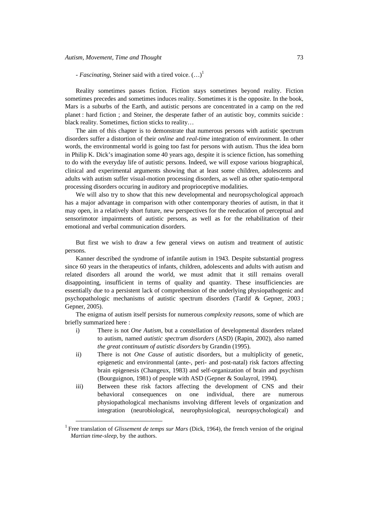$\overline{a}$ 

*- Fascinating,* Steiner said with a tired voice.  $(\ldots)^1$ 

Reality sometimes passes fiction. Fiction stays sometimes beyond reality. Fiction sometimes precedes and sometimes induces reality. Sometimes it is the opposite. In the book, Mars is a suburbs of the Earth, and autistic persons are concentrated in a camp on the red planet : hard fiction ; and Steiner, the desperate father of an autistic boy, commits suicide : black reality. Sometimes, fiction sticks to reality…

The aim of this chapter is to demonstrate that numerous persons with autistic spectrum disorders suffer a distortion of their *online* and *real-time* integration of environment. In other words, the environmental world is going too fast for persons with autism. Thus the idea born in Philip K. Dick's imagination some 40 years ago, despite it is science fiction, has something to do with the everyday life of autistic persons. Indeed, we will expose various biographical, clinical and experimental arguments showing that at least some children, adolescents and adults with autism suffer visual-motion processing disorders, as well as other spatio-temporal processing disorders occuring in auditory and proprioceptive modalities.

We will also try to show that this new developmental and neuropsychological approach has a major advantage in comparison with other contemporary theories of autism, in that it may open, in a relatively short future, new perspectives for the reeducation of perceptual and sensorimotor impairments of autistic persons, as well as for the rehabilitation of their emotional and verbal communication disorders.

But first we wish to draw a few general views on autism and treatment of autistic persons.

Kanner described the syndrome of infantile autism in 1943. Despite substantial progress since 60 years in the therapeutics of infants, children, adolescents and adults with autism and related disorders all around the world, we must admit that it still remains overall disappointing, insufficient in terms of quality and quantity. These insufficiencies are essentially due to a persistent lack of comprehension of the underlying physiopathogenic and psychopathologic mechanisms of autistic spectrum disorders (Tardif & Gepner, 2003 ; Gepner, 2005).

The enigma of autism itself persists for numerous *complexity reasons*, some of which are briefly summarized here :

- i) There is not *One Autism*, but a constellation of developmental disorders related to autism, named *autistic spectrum disorders* (ASD) (Rapin, 2002), also named *the great continuum of autistic disorders* by Grandin (1995).
- ii) There is not *One Cause* of autistic disorders, but a multiplicity of genetic, epigenetic and environmental (ante-, peri- and post-natal) risk factors affecting brain epigenesis (Changeux, 1983) and self-organization of brain and psychism (Bourguignon, 1981) of people with ASD (Gepner & Soulayrol, 1994).
- iii) Between these risk factors affecting the development of CNS and their behavioral consequences on one individual, there are numerous physiopathological mechanisms involving different levels of organization and integration (neurobiological, neurophysiological, neuropsychological) and

<sup>&</sup>lt;sup>1</sup> Free translation of *Glissement de temps sur Mars* (Dick, 1964), the french version of the original *Martian time-sleep,* by the authors.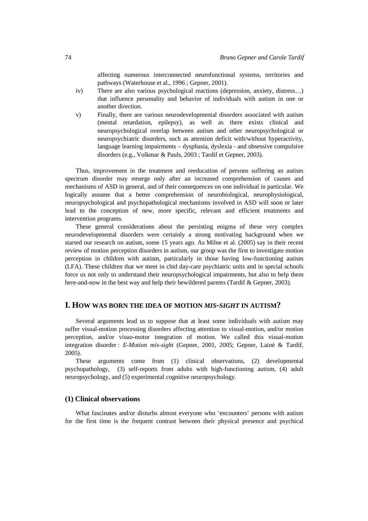affecting numerous interconnected neurofunctional systems, territories and pathways (Waterhouse et al., 1996 ; Gepner, 2001).

- iv) There are also various psychological reactions (depression, anxiety, distress…) that influence personality and behavior of individuals with autism in one or another direction.
- v) Finally, there are various neurodevelopmental disorders associated with autism (mental retardation, epilepsy), as well as there exists clinical and neuropsychological overlap between autism and other neuropsychological or neuropsychiatric disorders, such as attention deficit with/without hyperactivity, language learning impairments – dysphasia, dyslexia - and obsessive compulsive disorders (e.g., Volkmar & Pauls, 2003 ; Tardif et Gepner, 2003).

Thus, improvement in the treatment and reeducation of persons suffering an autism spectrum disorder may emerge only after an increased comprehension of causes and mechanisms of ASD in general, and of their consequences on one individual in particular. We logically assume that a better comprehension of neurobiological, neurophysiological, neuropsychological and psychopathological mechanisms involved in ASD will soon or later lead to the conception of new, more specific, relevant and efficient treatments and intervention programs.

These general considerations about the persisting enigma of these very complex neurodevelopmental disorders were certainly a strong motivating background when we started our research on autism, some 15 years ago. As Milne et al. (2005) say in their recent review of motion perception disorders in autism, our group was the first to investigate motion perception in children with autism, particularly in those having low-functioning autism (LFA). These children that we meet in chid day-care psychiatric units and in special schools force us not only to understand their neuropsychological impairments, but also to help them here-and-now in the best way and help their bewildered parents (Tardif & Gepner, 2003).

#### **I. HOW WAS BORN THE IDEA OF MOTION** *MIS-SIGHT* **IN AUTISM?**

Several arguments lead us to suppose that at least some individuals with autism may suffer visual-motion processing disorders affecting attention to visual-motion, and/or motion perception, and/or visuo-motor integration of motion. We called this visual-motion integration disorder : *E-Motion mis-sight* (Gepner, 2001, 2005; Gepner, Lainé & Tardif, 2005).

These arguments come from (1) clinical observations, (2) developmental psychopathology, (3) self-reports from adults with high-functioning autism, (4) adult neuropsychology, and (5) experimental cognitive neuropsychology.

#### **(1) Clinical observations**

What fascinates and/or disturbs almost everyone who 'encounters' persons with autism for the first time is the frequent contrast between their physical presence and psychical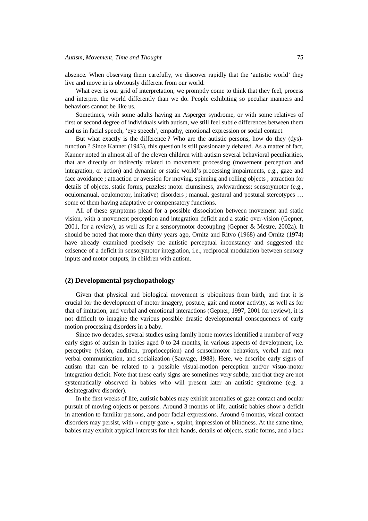absence. When observing them carefully, we discover rapidly that the 'autistic world' they live and move in is obviously different from our world.

What ever is our grid of interpretation, we promptly come to think that they feel, process and interpret the world differently than we do. People exhibiting so peculiar manners and behaviors cannot be like us.

Sometimes, with some adults having an Asperger syndrome, or with some relatives of first or second degree of individuals with autism, we still feel subtle differences between them and us in facial speech, 'eye speech', empathy, emotional expression or social contact.

But what exactly is the difference ? Who are the autistic persons, how do they (dys) function ? Since Kanner (1943), this question is still passionately debated. As a matter of fact, Kanner noted in almost all of the eleven children with autism several behavioral peculiarities, that are directly or indirectly related to movement processing (movement perception and integration, or action) and dynamic or static world's processing impairments, e.g., gaze and face avoidance ; attraction or aversion for moving, spinning and rolling objects ; attraction for details of objects, static forms, puzzles; motor clumsiness, awkwardness; sensorymotor (e.g., oculomanual, oculomotor, imitative) disorders ; manual, gestural and postural stereotypes … some of them having adaptative or compensatory functions.

All of these symptoms plead for a possible dissociation between movement and static vision, with a movement perception and integration deficit and a static over-vision (Gepner, 2001, for a review), as well as for a sensorymotor decoupling (Gepner & Mestre, 2002a). It should be noted that more than thirty years ago, Ornitz and Ritvo (1968) and Ornitz (1974) have already examined precisely the autistic perceptual inconstancy and suggested the exisence of a deficit in sensorymotor integration, i.e., reciprocal modulation between sensory inputs and motor outputs, in children with autism.

#### **(2) Developmental psychopathology**

Given that physical and biological movement is ubiquitous from birth, and that it is crucial for the development of motor imagery, posture, gait and motor activity, as well as for that of imitation, and verbal and emotional interactions (Gepner, 1997, 2001 for review), it is not difficult to imagine the various possible drastic developmental consequences of early motion processing disorders in a baby.

Since two decades, several studies using family home movies identified a number of very early signs of autism in babies aged 0 to 24 months, in various aspects of development, i.e. perceptive (vision, audition, proprioception) and sensorimotor behaviors, verbal and non verbal communication, and socialization (Sauvage, 1988). Here, we describe early signs of autism that can be related to a possible visual-motion perception and/or visuo-motor integration deficit. Note that these early signs are sometimes very subtle, and that they are not systematically observed in babies who will present later an autistic syndrome (e.g. a desintegrative disorder).

In the first weeks of life, autistic babies may exhibit anomalies of gaze contact and ocular pursuit of moving objects or persons. Around 3 months of life, autistic babies show a deficit in attention to familiar persons, and poor facial expressions. Around 6 months, visual contact disorders may persist, with « empty gaze », squint, impression of blindness. At the same time, babies may exhibit atypical interests for their hands, details of objects, static forms, and a lack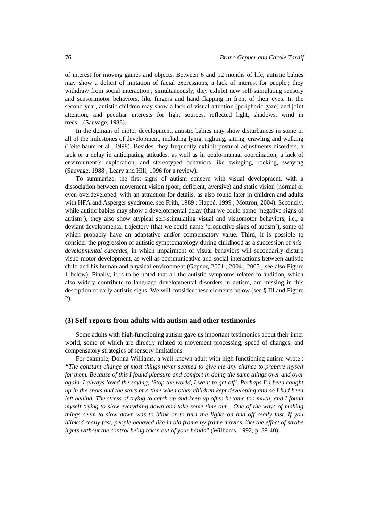of interest for moving games and objects. Between 6 and 12 months of life, autistic babies may show a deficit of imitation of facial expressions, a lack of interest for people ; they withdraw from social interaction ; simultaneously, they exhibit new self-stimulating sensory and sensorimotor behaviors, like fingers and hand flapping in front of their eyes. In the second year, autistic children may show a lack of visual attention (peripheric gaze) and joint attention, and peculiar interests for light sources, reflected light, shadows, wind in trees…(Sauvage, 1988).

In the domain of motor development, autistic babies may show disturbances in some or all of the milestones of development, including lying, righting, sitting, crawling and walking (Teitelbaum et al., 1998). Besides, they frequently exhibit postural adjustments disorders, a lack or a delay in anticipating attitudes, as well as in oculo-manual coordination, a lack of environment's exploration, and stereotyped behaviors like swinging, rocking, swaying (Sauvage, 1988 ; Leary and Hill, 1996 for a review).

To summarize, the first signs of autism concern with visual development, with a dissociation between movement vision (poor, deficient, aversive) and static vision (normal or even overdeveloped, with an attraction for details, as also found later in children and adults with HFA and Asperger syndrome, see Frith, 1989 ; Happé, 1999 ; Mottron, 2004). Secondly, while autitic babies may show a developmental delay (that we could name 'negative signs of autism'), they also show atypical self-stimulating visual and visuomotor behaviors, i.e., a deviant developmental trajectory (that we could name 'productive signs of autism'), some of which probably have an adaptative and/or compensatory value. Third, it is possible to consider the progression of autistic symptomatology during childhood as a succession of *misdevelopmental cascades*, in which impairment of visual behaviors will secondarily disturb visuo-motor development, as well as communicative and social interactions between autistic child and his human and physical environment (Gepner, 2001 ; 2004 ; 2005 ; see also Figure 1 below). Finally, it is to be noted that all the autistic symptoms related to audition, which also widely contribute to language developmental disorders in autism, are missing in this desciption of early autistic signs. We will consider these elements below (see § III and Figure 2).

#### **(3) Self-reports from adults with autism and other testimonies**

Some adults with high-functioning autism gave us important testimonies about their inner world, some of which are directly related to movement processing, speed of changes, and compensatory strategies of sensory limitations.

For example, Donna Williams, a well-known adult with high-functioning autism wrote : *"The constant change of most things never seemed to give me any chance to prepare myself for them. Because of this I found pleasure and comfort in doing the same things over and over again. I always loved the saying, 'Stop the world, I want to get off'. Perhaps I'd been caught up in the spots and the stars at a time when other children kept developing and so I had been left behind. The stress of trying to catch up and keep up often became too much, and I found myself trying to slow everything down and take some time out... One of the ways of making things seem to slow down was to blink or to turn the lights on and off really fast. If you blinked really fast, people behaved like in old frame-by-frame movies, like the effect of strobe lights without the control being taken out of your hands"* (Williams, 1992, p. 39-40).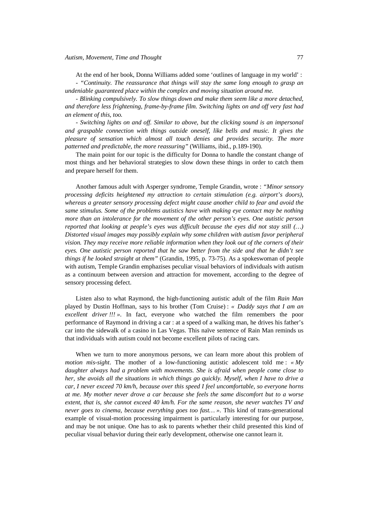At the end of her book, Donna Williams added some 'outlines of language in my world' :

*- "Continuity. The reassurance that things will stay the same long enough to grasp an undeniable guaranteed place within the complex and moving situation around me.* 

*- Blinking compulsively. To slow things down and make them seem like a more detached, and therefore less frightening, frame-by-frame film. Switching lights on and off very fast had an element of this, too.* 

*- Switching lights on and off. Similar to above, but the clicking sound is an impersonal and graspable connection with things outside oneself, like bells and music. It gives the pleasure of sensation which almost all touch denies and provides security. The more patterned and predictable, the more reassuring"* (Williams, ibid., p.189-190).

The main point for our topic is the difficulty for Donna to handle the constant change of most things and her behavioral strategies to slow down these things in order to catch them and prepare herself for them.

Another famous adult with Asperger syndrome, Temple Grandin, wrote : *"Minor sensory processing deficits heightened my attraction to certain stimulation (e.g. airport's doors), whereas a greater sensory processing defect might cause another child to fear and avoid the same stimulus. Some of the problems autistics have with making eye contact may be nothing more than an intolerance for the movement of the other person's eyes. One autistic person reported that looking at people's eyes was difficult because the eyes did not stay still (…) Distorted visual images may possibly explain why some children with autism favor peripheral vision. They may receive more reliable information when they look out of the corners of their eyes. One autistic person reported that he saw better from the side and that he didn't see things if he looked straight at them"* (Grandin, 1995, p. 73-75). As a spokeswoman of people with autism, Temple Grandin emphazises peculiar visual behaviors of individuals with autism as a continuum between aversion and attraction for movement, according to the degree of sensory processing defect.

Listen also to what Raymond, the high-functioning autistic adult of the film *Rain Man* played by Dustin Hoffman, says to his brother (Tom Cruise) : *« Daddy says that I am an excellent driver !!! »*. In fact, everyone who watched the film remembers the poor performance of Raymond in driving a car : at a speed of a walking man, he drives his father's car into the sidewalk of a casino in Las Vegas. This naïve sentence of Rain Man reminds us that individuals with autism could not become excellent pilots of racing cars.

When we turn to more anonymous persons, we can learn more about this problem of *motion mis-sight*. The mother of a low-functioning autistic adolescent told me : *« My daughter always had a problem with movements. She is afraid when people come close to her, she avoids all the situations in which things go quickly. Myself, when I have to drive a car, I never exceed 70 km/h, because over this speed I feel uncomfortable, so everyone horns at me. My mother never drove a car because she feels the same discomfort but to a worse extent, that is, she cannot exceed 40 km/h. For the same reason, she never watches TV and never goes to cinema, because everything goes too fast… »*. This kind of trans-generational example of visual-motion processing impairment is particularly interesting for our purpose, and may be not unique. One has to ask to parents whether their child presented this kind of peculiar visual behavior during their early development, otherwise one cannot learn it.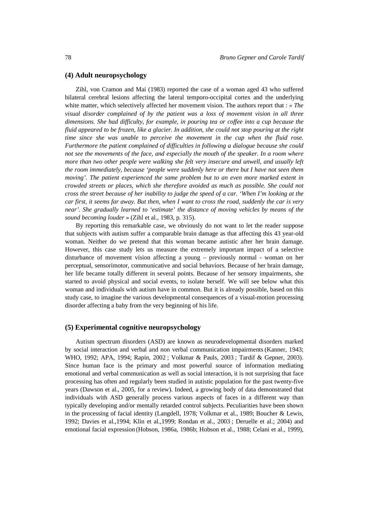#### **(4) Adult neuropsychology**

Zihl, von Cramon and Mai (1983) reported the case of a woman aged 43 who suffered bilateral cerebral lesions affecting the lateral temporo-occipital cortex and the underlying white matter, which selectively affected her movement vision. The authors report that : *« The visual disorder complained of by the patient was a loss of movement vision in all three dimensions. She had difficulty, for example, in pouring tea or coffee into a cup because the fluid appeared to be frozen, like a glacier. In addition, she could not stop pouring at the right time since she was unable to perceive the movement in the cup when the fluid rose. Furthermore the patient complained of difficulties in following a dialogue because she could not see the movements of the face, and especially the mouth of the speaker. In a room where more than two other people were walking she felt very insecure and unwell, and usually left the room immediately, because 'people were suddenly here or there but I have not seen them moving'. The patient experienced the same problem but to an even more marked extent in crowded streets or places, which she therefore avoided as much as possible. She could not cross the street because of her inability to judge the speed of a car. 'When I'm looking at the car first, it seems far away. But then, when I want to cross the road, suddenly the car is very near'. She gradually learned to 'estimate' the distance of moving vehicles by means of the sound becoming louder* » (Zihl et al., 1983, p. 315).

By reporting this remarkable case, we obviously do not want to let the reader suppose that subjects with autism suffer a comparable brain damage as that affecting this 43 year-old woman. Neither do we pretend that this woman became autistic after her brain damage. However, this case study lets us measure the extremely important impact of a selective disturbance of movement vision affecting a young – previously normal - woman on her perceptual, sensorimotor, communicative and social behaviors. Because of her brain damage, her life became totally different in several points. Because of her sensory impairments, she started to avoid physical and social events, to isolate herself. We will see below what this woman and individuals with autism have in common. But it is already possible, based on this study case, to imagine the various developmental consequences of a visual-motion processing disorder affecting a baby from the very beginning of his life.

#### **(5) Experimental cognitive neuropsychology**

Autism spectrum disorders (ASD) are known as neurodevelopmental disorders marked by social interaction and verbal and non verbal communication impairments (Kanner, 1943; WHO, 1992; APA, 1994; Rapin, 2002 ; Volkmar & Pauls, 2003 ; Tardif & Gepner, 2003). Since human face is the primary and most powerful source of information mediating emotional and verbal communication as well as social interaction, it is not surprising that face processing has often and regularly been studied in autistic population for the past twenty-five years (Dawson et al., 2005, for a review). Indeed, a growing body of data demonstrated that individuals with ASD generally process various aspects of faces in a different way than typically developing and/or mentally retarded control subjects. Peculiarities have been shown in the processing of facial identity (Langdell, 1978; Volkmar et al., 1989; Boucher & Lewis, 1992; Davies et al.,1994; Klin et al.,1999; Rondan et al., 2003 ; Deruelle et al.; 2004) and emotional facial expression (Hobson, 1986a, 1986b; Hobson et al., 1988; Celani et al., 1999),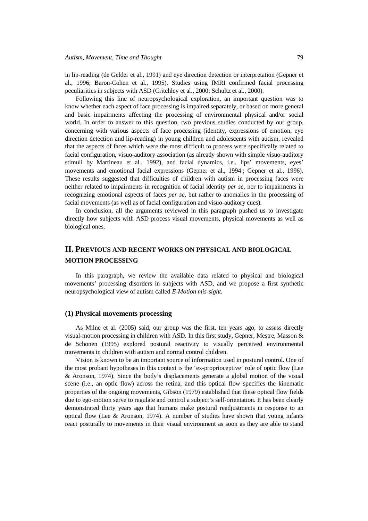in lip-reading (de Gelder et al., 1991) and eye direction detection or interpretation (Gepner et al., 1996; Baron-Cohen et al., 1995). Studies using fMRI confirmed facial processing peculiarities in subjects with ASD (Critchley et al., 2000; Schultz et al., 2000).

Following this line of neuropsychological exploration, an important question was to know whether each aspect of face processing is impaired separately, or based on more general and basic impairments affecting the processing of environmental physical and/or social world. In order to answer to this question, two previous studies conducted by our group, concerning with various aspects of face processing (identity, expressions of emotion, eye direction detection and lip-reading) in young children and adolescents with autism, revealed that the aspects of faces which were the most difficult to process were specifically related to facial configuration, visuo-auditory association (as already shown with simple visuo-auditory stimuli by Martineau et al., 1992), and facial dynamics, i.e., lips' movements, eyes' movements and emotional facial expressions (Gepner et al., 1994 ; Gepner et al., 1996). These results suggested that difficulties of children with autism in processing faces were neither related to impairments in recognition of facial identity *per se*, nor to impairments in recognizing emotional aspects of faces *per se*, but rather to anomalies in the processing of facial movements (as well as of facial configuration and visuo-auditory cues).

In conclusion, all the arguments reviewed in this paragraph pushed us to investigate directly how subjects with ASD process visual movements, physical movements as well as biological ones.

# **II. PREVIOUS AND RECENT WORKS ON PHYSICAL AND BIOLOGICAL MOTION PROCESSING**

In this paragraph, we review the available data related to physical and biological movements' processing disorders in subjects with ASD, and we propose a first synthetic neuropsychological view of autism called *E-Motion mis-sight*.

#### **(1) Physical movements processing**

As Milne et al. (2005) said, our group was the first, ten years ago, to assess directly visual-motion processing in children with ASD. In this first study, Gepner, Mestre, Masson & de Schonen (1995) explored postural reactivity to visually perceived environmental movements in children with autism and normal control children.

Vision is known to be an important source of information used in postural control. One of the most probant hypotheses in this context is the 'ex-proprioceptive' role of optic flow (Lee & Aronson, 1974). Since the body's displacements generate a global motion of the visual scene (i.e., an optic flow) across the retina, and this optical flow specifies the kinematic properties of the ongoing movements, Gibson (1979) established that these optical flow fields due to ego-motion serve to regulate and control a subject's self-orientation. It has been clearly demonstrated thirty years ago that humans make postural readjustments in response to an optical flow (Lee & Aronson, 1974). A number of studies have shown that young infants react posturally to movements in their visual environment as soon as they are able to stand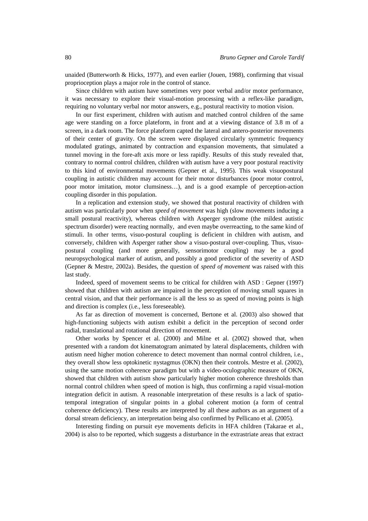unaided (Butterworth & Hicks, 1977), and even earlier (Jouen, 1988), confirming that visual proprioception plays a major role in the control of stance.

Since children with autism have sometimes very poor verbal and/or motor performance, it was necessary to explore their visual-motion processing with a reflex-like paradigm, requiring no voluntary verbal nor motor answers, e.g., postural reactivity to motion vision.

In our first experiment, children with autism and matched control children of the same age were standing on a force plateform, in front and at a viewing distance of 3.8 m of a screen, in a dark room. The force plateform capted the lateral and antero-posterior movements of their center of gravity. On the screen were displayed circularly symmetric frequency modulated gratings, animated by contraction and expansion movements, that simulated a tunnel moving in the fore-aft axis more or less rapidly. Results of this study revealed that, contrary to normal control children, children with autism have a very poor postural reactivity to this kind of environmental movements (Gepner et al., 1995). This weak visuopostural coupling in autistic children may account for their motor disturbances (poor motor control, poor motor imitation, motor clumsiness…), and is a good example of perception-action coupling disorder in this population.

In a replication and extension study, we showed that postural reactivity of children with autism was particularly poor when *speed of movement* was high (slow movements inducing a small postural reactivity), whereas children with Asperger syndrome (the mildest autistic spectrum disorder) were reacting normally, and even maybe overreacting, to the same kind of stimuli. In other terms, visuo-postural coupling is deficient in children with autism, and conversely, children with Asperger rather show a visuo-postural over-coupling. Thus, visuopostural coupling (and more generally, sensorimotor coupling) may be a good neuropsychological marker of autism, and possibly a good predictor of the severity of ASD (Gepner & Mestre, 2002a). Besides, the question of *speed of movement* was raised with this last study.

Indeed, speed of movement seems to be critical for children with ASD : Gepner (1997) showed that children with autism are impaired in the perception of moving small squares in central vision, and that their performance is all the less so as speed of moving points is high and direction is complex (i.e., less foreseeable).

As far as direction of movement is concerned, Bertone et al. (2003) also showed that high-functioning subjects with autism exhibit a deficit in the perception of second order radial, translational and rotational direction of movement.

Other works by Spencer et al. (2000) and Milne et al. (2002) showed that, when presented with a random dot kinematogram animated by lateral displacements, children with autism need higher motion coherence to detect movement than normal control children, i.e., they overall show less optokinetic nystagmus (OKN) then their controls. Mestre et al. (2002), using the same motion coherence paradigm but with a video-oculographic measure of OKN, showed that children with autism show particularly higher motion coherence thresholds than normal control children when speed of motion is high, thus confirming a rapid visual-motion integration deficit in autism. A reasonable interpretation of these results is a lack of spatiotemporal integration of singular points in a global coherent motion (a form of central coherence deficiency). These results are interpreted by all these authors as an argument of a dorsal stream deficiency, an interpretation being also confirmed by Pellicano et al. (2005).

Interesting finding on pursuit eye movements deficits in HFA children (Takarae et al., 2004) is also to be reported, which suggests a disturbance in the extrastriate areas that extract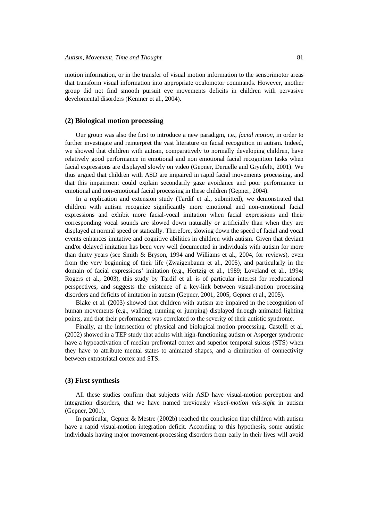motion information, or in the transfer of visual motion information to the sensorimotor areas that transform visual information into appropriate oculomotor commands. However, another group did not find smooth pursuit eye movements deficits in children with pervasive develomental disorders (Kemner et al., 2004).

#### **(2) Biological motion processing**

Our group was also the first to introduce a new paradigm, i.e., *facial motion*, in order to further investigate and reinterpret the vast literature on facial recognition in autism. Indeed, we showed that children with autism, comparatively to normally developing children, have relatively good performance in emotional and non emotional facial recognition tasks when facial expressions are displayed slowly on video (Gepner, Deruelle and Grynfeltt, 2001). We thus argued that children with ASD are impaired in rapid facial movements processing, and that this impairment could explain secondarily gaze avoidance and poor performance in emotional and non-emotional facial processing in these children (Gepner, 2004).

In a replication and extension study (Tardif et al., submitted), we demonstrated that children with autism recognize significantly more emotional and non-emotional facial expressions and exhibit more facial-vocal imitation when facial expressions and their corresponding vocal sounds are slowed down naturally or artificially than when they are displayed at normal speed or statically. Therefore, slowing down the speed of facial and vocal events enhances imitative and cognitive abilities in children with autism. Given that deviant and/or delayed imitation has been very well documented in individuals with autism for more than thirty years (see Smith & Bryson, 1994 and Williams et al., 2004, for reviews), even from the very beginning of their life (Zwaigenbaum et al., 2005), and particularly in the domain of facial expressions' imitation (e.g., Hertzig et al., 1989; Loveland et al., 1994; Rogers et al., 2003), this study by Tardif et al. is of particular interest for reeducational perspectives, and suggests the existence of a key-link between visual-motion processing disorders and deficits of imitation in autism (Gepner, 2001, 2005; Gepner et al., 2005).

Blake et al. (2003) showed that children with autism are impaired in the recognition of human movements (e.g., walking, running or jumping) displayed through animated lighting points, and that their performance was correlated to the severity of their autistic syndrome.

Finally, at the intersection of physical and biological motion processing, Castelli et al. (2002) showed in a TEP study that adults with high-functioning autism or Asperger syndrome have a hypoactivation of median prefrontal cortex and superior temporal sulcus (STS) when they have to attribute mental states to animated shapes, and a diminution of connectivity between extrastriatal cortex and STS.

#### **(3) First synthesis**

All these studies confirm that subjects with ASD have visual-motion perception and integration disorders, that we have named previously *visual-motion mis-sight* in autism (Gepner, 2001).

In particular, Gepner & Mestre (2002b) reached the conclusion that children with autism have a rapid visual-motion integration deficit. According to this hypothesis, some autistic individuals having major movement-processing disorders from early in their lives will avoid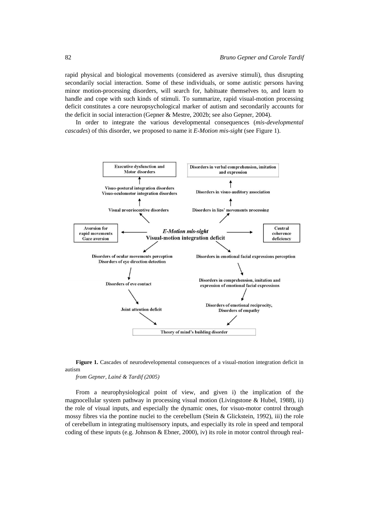rapid physical and biological movements (considered as aversive stimuli), thus disrupting secondarily social interaction. Some of these individuals, or some autistic persons having minor motion-processing disorders, will search for, habituate themselves to, and learn to handle and cope with such kinds of stimuli. To summarize, rapid visual-motion processing deficit constitutes a core neuropsychological marker of autism and secondarily accounts for the deficit in social interaction (Gepner & Mestre, 2002b; see also Gepner, 2004).

In order to integrate the various developmental consequences (*mis-developmental cascades*) of this disorder, we proposed to name it *E-Motion mis-sight* (see Figure 1).



**Figure 1.** Cascades of neurodevelopmental consequences of a visual-motion integration deficit in autism

*from Gepner, Lainé & Tardif (2005)*

From a neurophysiological point of view, and given i) the implication of the magnocellular system pathway in processing visual motion (Livingstone & Hubel, 1988), ii) the role of visual inputs, and especially the dynamic ones, for visuo-motor control through mossy fibres via the pontine nuclei to the cerebellum (Stein & Glickstein, 1992), iii) the role of cerebellum in integrating multisensory inputs, and especially its role in speed and temporal coding of these inputs (e.g. Johnson & Ebner, 2000), iv) its role in motor control through real-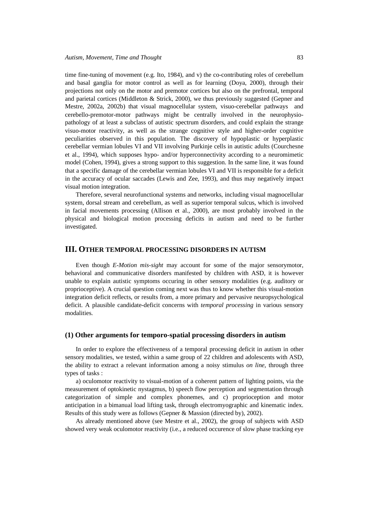time fine-tuning of movement (e.g. Ito, 1984), and v) the co-contributing roles of cerebellum and basal ganglia for motor control as well as for learning (Doya, 2000), through their projections not only on the motor and premotor cortices but also on the prefrontal, temporal and parietal cortices (Middleton & Strick, 2000), we thus previously suggested (Gepner and Mestre, 2002a, 2002b) that visual magnocellular system, visuo-cerebellar pathways and cerebello-premotor-motor pathways might be centrally involved in the neurophysiopathology of at least a subclass of autistic spectrum disorders, and could explain the strange visuo-motor reactivity, as well as the strange cognitive style and higher-order cognitive peculiarities observed in this population. The discovery of hypoplastic or hyperplastic cerebellar vermian lobules VI and VII involving Purkinje cells in autistic adults (Courchesne et al., 1994), which supposes hypo- and/or hyperconnectivity according to a neuromimetic model (Cohen, 1994), gives a strong support to this suggestion. In the same line, it was found that a specific damage of the cerebellar vermian lobules VI and VII is responsible for a deficit in the accuracy of ocular saccades (Lewis and Zee, 1993), and thus may negatively impact visual motion integration.

Therefore, several neurofunctional systems and networks, including visual magnocellular system, dorsal stream and cerebellum, as well as superior temporal sulcus, which is involved in facial movements processing (Allison et al., 2000), are most probably involved in the physical and biological motion processing deficits in autism and need to be further investigated.

## **III. OTHER TEMPORAL PROCESSING DISORDERS IN AUTISM**

Even though *E-Motion mis-sight* may account for some of the major sensorymotor, behavioral and communicative disorders manifested by children with ASD, it is however unable to explain autistic symptoms occuring in other sensory modalities (e.g. auditory or proprioceptive). A crucial question coming next was thus to know whether this visual-motion integration deficit reflects, or results from, a more primary and pervasive neuropsychological deficit. A plausible candidate-deficit concerns with *temporal processing* in various sensory modalities.

#### **(1) Other arguments for temporo-spatial processing disorders in autism**

In order to explore the effectiveness of a temporal processing deficit in autism in other sensory modalities, we tested, within a same group of 22 children and adolescents with ASD, the ability to extract a relevant information among a noisy stimulus *on line*, through three types of tasks :

a) oculomotor reactivity to visual-motion of a coherent pattern of lighting points, via the measurement of optokinetic nystagmus, b) speech flow perception and segmentation through categorization of simple and complex phonemes, and c) proprioception and motor anticipation in a bimanual load lifting task, through electromyographic and kinematic index. Results of this study were as follows (Gepner & Massion (directed by), 2002).

As already mentioned above (see Mestre et al., 2002), the group of subjects with ASD showed very weak oculomotor reactivity (i.e., a reduced occurence of slow phase tracking eye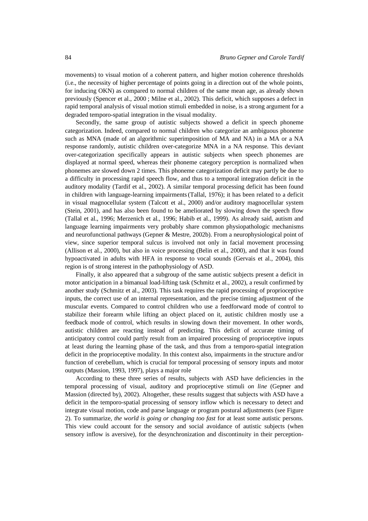movements) to visual motion of a coherent pattern, and higher motion coherence thresholds (i.e., the necessity of higher percentage of points going in a direction out of the whole points, for inducing OKN) as compared to normal children of the same mean age, as already shown previously (Spencer et al., 2000 ; Milne et al., 2002). This deficit, which supposes a defect in rapid temporal analysis of visual motion stimuli embedded in noise, is a strong argument for a degraded temporo-spatial integration in the visual modality.

Secondly, the same group of autistic subjects showed a deficit in speech phoneme categorization. Indeed, compared to normal children who categorize an ambiguous phoneme such as MNA (made of an algorithmic superimposition of MA and NA) in a MA or a NA response randomly, autistic children over-categorize MNA in a NA response. This deviant over-categorization specifically appears in autistic subjects when speech phonemes are displayed at normal speed, whereas their phoneme category perception is normalized when phonemes are slowed down 2 times. This phoneme categorization deficit may partly be due to a difficulty in processing rapid speech flow, and thus to a temporal integration deficit in the auditory modality (Tardif et al., 2002). A similar temporal processing deficit has been found in children with language-learning impairments(Tallal, 1976); it has been related to a deficit in visual magnocellular system (Talcott et al., 2000) and/or auditory magnocellular system (Stein, 2001), and has also been found to be ameliorated by slowing down the speech flow (Tallal et al., 1996; Merzenich et al., 1996; Habib et al., 1999). As already said, autism and language learning impairments very probably share common physiopathologic mechanisms and neurofunctional pathways (Gepner & Mestre, 2002b). From a neurophysiological point of view, since superior temporal sulcus is involved not only in facial movement processing (Allison et al., 2000), but also in voice processing (Belin et al., 2000), and that it was found hypoactivated in adults with HFA in response to vocal sounds (Gervais et al., 2004), this region is of strong interest in the pathophysiology of ASD.

Finally, it also appeared that a subgroup of the same autistic subjects present a deficit in motor anticipation in a bimanual load-lifting task (Schmitz et al., 2002), a result confirmed by another study (Schmitz et al., 2003). This task requires the rapid processing of proprioceptive inputs, the correct use of an internal representation, and the precise timing adjustment of the muscular events. Compared to control children who use a feedforward mode of control to stabilize their forearm while lifting an object placed on it, autistic children mostly use a feedback mode of control, which results in slowing down their movement. In other words, autistic children are reacting instead of predicting. This deficit of accurate timing of anticipatory control could partly result from an impaired processing of proprioceptive inputs at least during the learning phase of the task, and thus from a temporo-spatial integration deficit in the proprioceptive modality. In this context also, impairments in the structure and/or function of cerebellum, which is crucial for temporal processing of sensory inputs and motor outputs (Massion, 1993, 1997), plays a major role

According to these three series of results, subjects with ASD have deficiencies in the temporal processing of visual, auditory and proprioceptive stimuli *on line* (Gepner and Massion (directed by), 2002). Altogether, these results suggest that subjects with ASD have a deficit in the temporo-spatial processing of sensory inflow which is necessary to detect and integrate visual motion, code and parse language or program postural adjustments (see Figure 2). To summarize, *the world is going or changing too fast* for at least some autistic persons. This view could account for the sensory and social avoidance of autistic subjects (when sensory inflow is aversive), for the desynchronization and discontinuity in their perception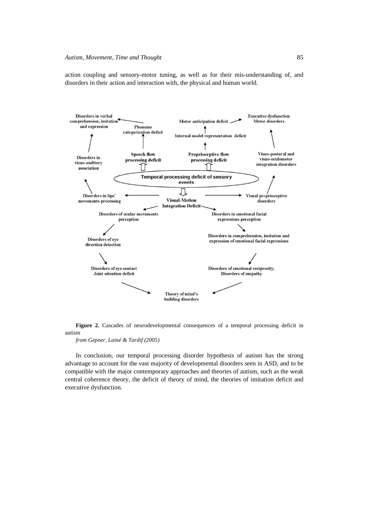action coupling and sensory-motor tuning, as well as for their mis-understanding of, and disorders in their action and interaction with, the physical and human world.





*from Gepner, Lainé & Tardif (2005)*

In conclusion, our temporal processing disorder hypothesis of autism has the strong advantage to account for the vast majority of developmental disorders seen in ASD, and to be compatible with the major contemporary approaches and theories of autism, such as the weak central coherence theory, the deficit of theory of mind, the theories of imitation deficit and executive dysfunction.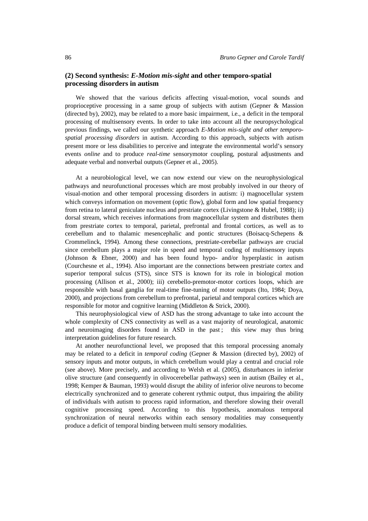# **(2) Second synthesis:** *E-Motion mis-sight* **and other temporo-spatial processing disorders in autism**

We showed that the various deficits affecting visual-motion, vocal sounds and proprioceptive processing in a same group of subjects with autism (Gepner & Massion (directed by), 2002), may be related to a more basic impairment, i.e., a deficit in the temporal processing of multisensory events. In order to take into account all the neuropsychological previous findings, we called our synthetic approach *E-Motion mis-sight and other temporospatial processing disorders* in autism. According to this approach, subjects with autism present more or less disabilities to perceive and integrate the environmental world's sensory events *online* and to produce *real-time* sensorymotor coupling, postural adjustments and adequate verbal and nonverbal outputs (Gepner et al., 2005).

At a neurobiological level, we can now extend our view on the neurophysiological pathways and neurofunctional processes which are most probably involved in our theory of visual-motion and other temporal processing disorders in autism: i) magnocellular system which conveys information on movement (optic flow), global form and low spatial frequency from retina to lateral geniculate nucleus and prestriate cortex (Livingstone & Hubel, 1988); ii) dorsal stream, which receives informations from magnocellular system and distributes them from prestriate cortex to temporal, parietal, prefrontal and frontal cortices, as well as to cerebellum and to thalamic mesencephalic and pontic structures (Boisacq-Schepens & Crommelinck, 1994). Among these connections, prestriate-cerebellar pathways are crucial since cerebellum plays a major role in speed and temporal coding of multisensory inputs (Johnson & Ebner, 2000) and has been found hypo- and/or hyperplastic in autism (Courchesne et al., 1994). Also important are the connections between prestriate cortex and superior temporal sulcus (STS), since STS is known for its role in biological motion processing (Allison et al., 2000); iii) cerebello-premotor-motor cortices loops, which are responsible with basal ganglia for real-time fine-tuning of motor outputs (Ito, 1984; Doya, 2000), and projections from cerebellum to prefrontal, parietal and temporal cortices which are responsible for motor and cognitive learning (Middleton & Strick, 2000).

This neurophysiological view of ASD has the strong advantage to take into account the whole complexity of CNS connectivity as well as a vast majority of neurological, anatomic and neuroimaging disorders found in ASD in the past: this view may thus bring interpretation guidelines for future research.

At another neurofunctional level, we proposed that this temporal processing anomaly may be related to a deficit in *temporal coding* (Gepner & Massion (directed by), 2002) of sensory inputs and motor outputs, in which cerebellum would play a central and crucial role (see above). More precisely, and according to Welsh et al. (2005), disturbances in inferior olive structure (and consequently in olivocerebellar pathways) seen in autism (Bailey et al., 1998; Kemper & Bauman, 1993) would disrupt the ability of inferior olive neurons to become electrically synchronized and to generate coherent rythmic output, thus impairing the ability of individuals with autism to process rapid information, and therefore slowing their overall cognitive processing speed. According to this hypothesis, anomalous temporal synchronization of neural networks within each sensory modalities may consequently produce a deficit of temporal binding between multi sensory modalities.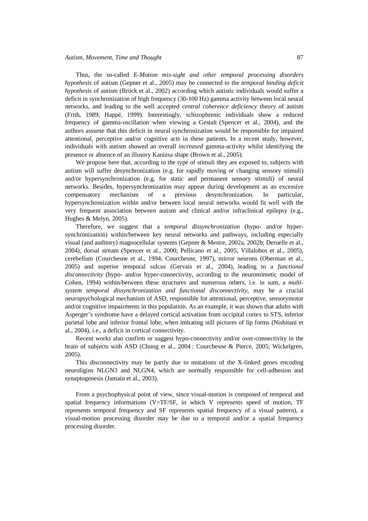Thus, the so-called *E-Motion mis-sight and other temporal processing disorders hypothesis* of autism (Gepner et al., 2005) may be connected to the *temporal binding deficit hypothesis* of autism (Brock et al., 2002) according which autistic individuals would suffer a deficit in synchronization of high frequency (30-100 Hz) gamma activity between local neural networks, and leading to the well accepted *central coherence deficiency theory* of autism (Frith, 1989; Happé, 1999). Interestingly, schizophrenic individuals show a reduced frequency of gamma-oscillation when viewing a Gestalt (Spencer et al., 2004), and the authors assume that this deficit in neural synchronization would be responsible for impaired attentional, perceptive and/or cognitive acts in these patients. In a recent study, however, individuals with autism showed an overall *increased* gamma-activity whilst identifying the presence or absence of an illusory Kanizsa shape (Brown et al., 2005).

We propose here that, according to the type of stimuli they are exposed to, subjects with autism will suffer desynchronization (e.g. for rapidly moving or changing sensory stimuli) and/or hypersynchronization (e.g. for static and permanent sensory stimuli) of neural networks. Besides, hypersynchronization may appear during development as an excessive compensatory mechanism of a previous desynchronization. In particular, hypersynchronization within and/or between local neural networks would fit well with the very frequent association between autism and clinical and/or infraclinical epilepsy (e.g., Hughes & Melyn, 2005).

Therefore, we suggest that a *temporal dissynchronization* (hypo- and/or hypersynchronization) within/between key neural networks and pathways, including especially visual (and auditory) magnocellular systems (Gepner & Mestre, 2002a, 2002b; Deruelle et al., 2004), dorsal stream (Spencer et al., 2000; Pellicano et al., 2005; Villalobos et al., 2005), cerebellum (Courchesne et al., 1994; Courchesne, 1997), mirror neurons (Oberman et al., 2005) and superior temporal sulcus (Gervais et al., 2004), leading to a *functional disconnectivity* (hypo- and/or hyper-connectivity, according to the neuromimetic model of Cohen, 1994) within/between these structures and numerous others, i.e. in sum, a *multisystem temporal dissynchronization and functional disconnectivity,* may be a crucial neuropsychological mechanism of ASD, responsible for attentional, perceptive, sensorymotor and/or cognitive impairments in this population. As an example, it was shown that adults with Asperger's syndrome have a delayed cortical activation from occipital cortex to STS, inferior parietal lobe and inferior frontal lobe, when imitating still pictures of lip forms (Nishitani et al., 2004), i.e., a deficit in cortical connectivity.

Recent works also confirm or suggest hypo-connectivity and/or over-connectivity in the brain of subjects with ASD (Chung et al., 2004 ; Courchesne & Pierce, 2005; Wickelgren, 2005).

This disconnectivity may be partly due to mutations of the X-linked genes encoding neuroligins NLGN3 and NLGN4, which are normally responsible for cell-adhesion and synaptogenesis (Jamain et al., 2003).

From a psychophysical point of view, since visual-motion is composed of temporal and spatial frequency informations (V=TF/SF, in which V represents speed of motion, TF represents temporal frequency and SF represents spatial frequency of a visual pattern), a visual-motion processing disorder may be due to a temporal and/or a spatial frequency processing disorder.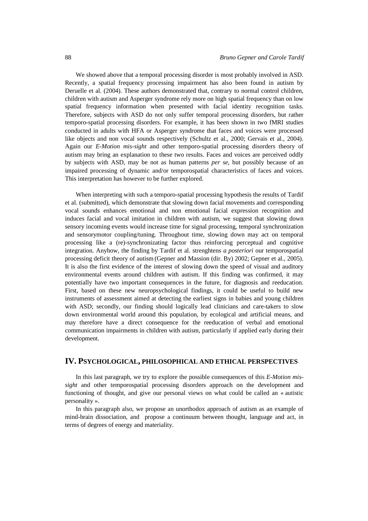We showed above that a temporal processing disorder is most probably involved in ASD. Recently, a spatial frequency processing impairment has also been found in autism by Deruelle et al. (2004). These authors demonstrated that, contrary to normal control children, children with autism and Asperger syndrome rely more on high spatial frequency than on low spatial frequency information when presented with facial identity recognition tasks. Therefore, subjects with ASD do not only suffer temporal processing disorders, but rather temporo-spatial processing disorders. For example, it has been shown in two fMRI studies conducted in adults with HFA or Asperger syndrome that faces and voices were processed like objects and non vocal sounds respectively (Schultz et al., 2000; Gervais et al., 2004). Again our *E-Motion mis-sight* and other temporo-spatial processing disorders theory of autism may bring an explanation to these two results. Faces and voices are perceived oddly by subjects with ASD, may be not as human patterns *per se*, but possibly because of an impaired processing of dynamic and/or temporospatial characteristics of faces and voices. This interpretation has however to be further explored.

When interpreting with such a temporo-spatial processing hypothesis the results of Tardif et al. (submitted), which demonstrate that slowing down facial movements and corresponding vocal sounds enhances emotional and non emotional facial expression recognition and induces facial and vocal imitation in children with autism, we suggest that slowing down sensory incoming events would increase time for signal processing, temporal synchronization and sensorymotor coupling/tuning. Throughout time, slowing down may act on temporal processing like a (re)-synchronizating factor thus reinforcing perceptual and cognitive integration. Anyhow, the finding by Tardif et al. strenghtens *a posteriori* our temporospatial processing deficit theory of autism (Gepner and Massion (dir. By) 2002; Gepner et al., 2005). It is also the first evidence of the interest of slowing down the speed of visual and auditory environmental events around children with autism. If this finding was confirmed, it may potentially have two important consequences in the future, for diagnosis and reeducation. First, based on these new neuropsychological findings, it could be useful to build new instruments of assessment aimed at detecting the earliest signs in babies and young children with ASD; secondly, our finding should logically lead clinicians and care-takers to slow down environmental world around this population, by ecological and artificial means, and may therefore have a direct consequence for the reeducation of verbal and emotional communication impairments in children with autism, particularly if applied early during their development.

# **IV. PSYCHOLOGICAL, PHILOSOPHICAL AND ETHICAL PERSPECTIVES**

In this last paragraph, we try to explore the possible consequences of this *E-Motion missight* and other temporospatial processing disorders approach on the development and functioning of thought, and give our personal views on what could be called an « autistic personality ».

In this paragraph also, we propose an unorthodox approach of autism as an example of mind-brain dissociation, and propose a continuum between thought, language and act, in terms of degrees of energy and materiality.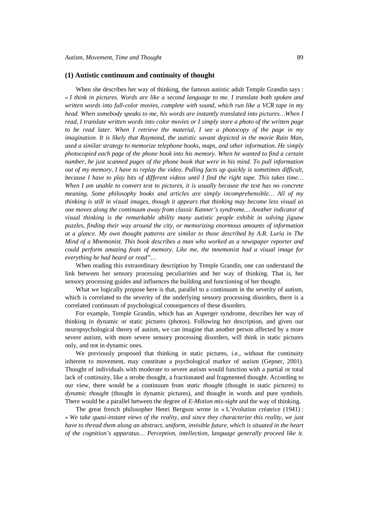#### **(1) Autistic continuum and continuity of thought**

When she describes her way of thinking, the famous autistic adult Temple Grandin says : *« I think in pictures. Words are like a second language to me. I translate both spoken and written words into full-color movies, complete with sound, which run like a VCR tape in my head. When somebody speaks to me, his words are instantly translated into pictures... When I read, I translate written words into color movies or I simply store a photo of the written page to be read later. When I retrieve the material, I see a photocopy of the page in my imagination. It is likely that Raymond, the autistic savant depicted in the movie Rain Man, used a similar strategy to memorize telephone books, maps, and other information. He simply photocopied each page of the phone book into his memory. When he wanted to find a certain number, he just scanned pages of the phone book that were in his mind. To pull information out of my memory, I have to replay the video. Pulling facts up quickly is sometimes difficult, because I have to play bits of different videos until I find the right tape. This takes time… When I am unable to convert text to pictures, it is usually because the text has no concrete meaning. Some philosophy books and articles are simply incomprehensible… All of my thinking is still in visual images, though it appears that thinking may become less visual as one moves along the continuum away from classic Kanner's syndrome… Another indicator of visual thinking is the remarkable ability many autistic people exhibit in solving jigsaw puzzles, finding their way around the city, or memorizing enormous amounts of information at a glance. My own thought patterns are similar to those described by A.R. Luria in The Mind of a Mnemonist. This book describes a man who worked as a newspaper reporter and could perform amazing feats of memory. Like me, the mnemonist had a visual image for everything he had heard or read"…*

When reading this extraordinary description by Temple Grandin, one can understand the link between her sensory processing peculiarities and her way of thinking. That is, her sensory processing guides and influences the building and functioning of her thought.

What we logically propose here is that, parallel to a continuum in the severity of autism, which is correlated to the severity of the underlying sensory processing disorders, there is a correlated continuum of psychological consequences of these disorders.

For example, Temple Grandin, which has an Asperger syndrome, describes her way of thinking in dynamic or static pictures (photos). Following her description, and given our neuropsychological theory of autism, we can imagine that another person affected by a more severe autism, with more severe sensory processing disorders, will think in static pictures only, and not in dynamic ones.

We previously proposed that thinking in static pictures, i.e., without the continuity inherent to movement, may constitute a psychological marker of autism (Gepner, 2001). Thought of individuals with moderate to severe autism would function with a partial or total lack of continuity, like a strobe thought, a fractionated and fragmented thought. According to our view, there would be a continuum from *static thought* (thought in static pictures) to *dynamic thought* (thought in dynamic pictures), and thought in words and pure symbols. There would be a parallel between the degree of *E-Motion mis-sight* and the way of thinking.

The great french philosopher Henri Bergson wrote in « L'évolution créatrice (1941) : *« We take quasi-instant views of the reality, and since they characterize this reality, we just have to thread them along an abstract, uniform, invisible future, which is situated in the heart of the cognition's apparatus… Perception, intellection, language generally proceed like it.*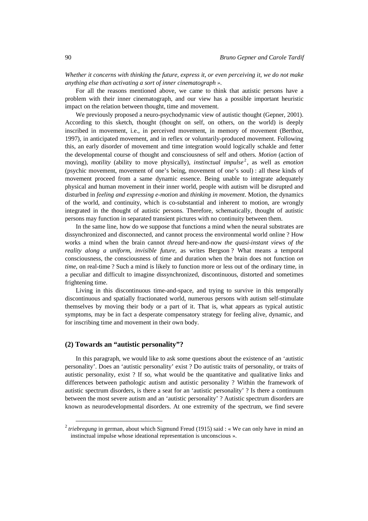*Whether it concerns with thinking the future, express it, or even perceiving it, we do not make anything else than activating a sort of inner cinematograph ».*

For all the reasons mentioned above, we came to think that autistic persons have a problem with their inner cinematograph, and our view has a possible important heuristic impact on the relation between thought, time and movement.

We previously proposed a neuro-psychodynamic view of autistic thought (Gepner, 2001). According to this sketch, thought (thought on self, on others, on the world) is deeply inscribed in movement, i.e., in perceived movement, in memory of movement (Berthoz, 1997), in anticipated movement, and in reflex or voluntarily-produced movement. Following this, an early disorder of movement and time integration would logically schakle and fetter the developmental course of thought and consciousness of self and others. *Motion* (action of moving), *motility* (ability to move physically), *instinctual impulse* <sup>2</sup> , as well as *emotion* (psychic movement, movement of one's being, movement of one's soul) : all these kinds of movement proceed from a same dynamic essence. Being unable to integrate adequately physical and human movement in their inner world, people with autism will be disrupted and disturbed in *feeling and expressing e-motion* and *thinking in movement*. Motion, the dynamics of the world, and continuity, which is co-substantial and inherent to motion, are wrongly integrated in the thought of autistic persons. Therefore, schematically, thought of autistic persons may function in separated transient pictures with no continuity between them.

In the same line, how do we suppose that functions a mind when the neural substrates are dissynchronized and disconnected, and cannot process the environmental world online ? How works a mind when the brain cannot *thread* here-and-now *the quasi-instant views of the reality along a uniform, invisible future,* as writes Bergson ? What means a temporal consciousness, the consciousness of time and duration when the brain does not function *on time*, on real-time ? Such a mind is likely to function more or less out of the ordinary time, in a peculiar and difficult to imagine dissynchronized, discontinuous, distorted and sometimes frightening time.

Living in this discontinuous time-and-space, and trying to survive in this temporally discontinuous and spatially fractionated world, numerous persons with autism self-stimulate themselves by moving their body or a part of it. That is, what appears as typical autistic symptoms, may be in fact a desperate compensatory strategy for feeling alive, dynamic, and for inscribing time and movement in their own body.

## **(2) Towards an "autistic personality"?**

 $\overline{a}$ 

In this paragraph, we would like to ask some questions about the existence of an 'autistic personality'. Does an 'autistic personality' exist ? Do autistic traits of personality, or traits of autistic personality, exist ? If so, what would be the quantitative and qualitative links and differences between pathologic autism and autistic personality ? Within the framework of autistic spectrum disorders, is there a seat for an 'autistic personality' ? Is there a continuum between the most severe autism and an 'autistic personality' ? Autistic spectrum disorders are known as neurodevelopmental disorders. At one extremity of the spectrum, we find severe

<sup>&</sup>lt;sup>2</sup> triebregung in german, about which Sigmund Freud (1915) said : « We can only have in mind an instinctual impulse whose ideational representation is unconscious ».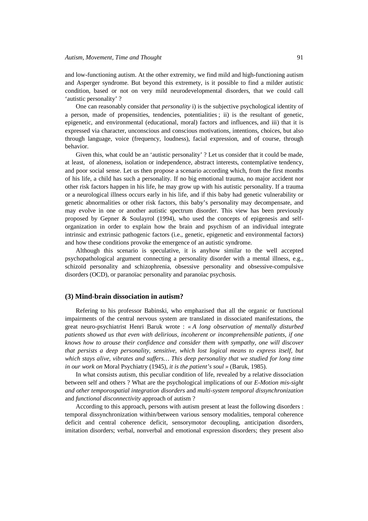and low-functioning autism. At the other extremity, we find mild and high-functioning autism and Asperger syndrome. But beyond this extremety, is it possible to find a milder autistic condition, based or not on very mild neurodevelopmental disorders, that we could call 'autistic personality' ?

One can reasonably consider that *personality* i) is the subjective psychological identity of a person, made of propensities, tendencies, potentialities ; ii) is the resultant of genetic, epigenetic, and environmental (educational, moral) factors and influences, and iii) that it is expressed via character, unconscious and conscious motivations, intentions, choices, but also through language, voice (frequency, loudness), facial expression, and of course, through behavior.

Given this, what could be an 'autistic personality' ? Let us consider that it could be made, at least, of aloneness, isolation or independence, abstract interests, contemplative tendency, and poor social sense. Let us then propose a scenario according which, from the first months of his life, a child has such a personality. If no big emotional trauma, no major accident nor other risk factors happen in his life, he may grow up with his autistic personality. If a trauma or a neurological illness occurs early in his life, and if this baby had genetic vulnerability or genetic abnormalities or other risk factors, this baby's personality may decompensate, and may evolve in one or another autistic spectrum disorder. This view has been previously proposed by Gepner & Soulayrol (1994), who used the concepts of epigenesis and selforganization in order to explain how the brain and psychism of an individual integrate intrinsic and extrinsic pathogenic factors (i.e., genetic, epigenetic and environmental factors) and how these conditions provoke the emergence of an autistic syndrome.

Although this scenario is speculative, it is anyhow similar to the well accepted psychopathological argument connecting a personality disorder with a mental illness, e.g., schizoïd personality and schizophrenia, obsessive personality and obsessive-compulsive disorders (OCD), or paranoïac personality and paranoïac psychosis.

#### **(3) Mind-brain dissociation in autism?**

Refering to his professor Babinski, who emphazised that all the organic or functional impairments of the central nervous system are translated in dissociated manifestations, the great neuro-psychiatrist Henri Baruk wrote : *« A long observation of mentally disturbed patients showed us that even with delirious, incoherent or incomprehensible patients, if one knows how to arouse their confidence and consider them with sympathy, one will discover that persists a deep personality, sensitive, which lost logical means to express itself, but which stays alive, vibrates and suffers… This deep personality that we studied for long time in our work on* Moral Psychiatry (1945)*, it is the patient's soul »* (Baruk, 1985).

In what consists autism, this peculiar condition of life, revealed by a relative dissociation between self and others ? What are the psychological implications of our *E-Motion mis-sight and other temporospatial integration disorders* and *multi-system temporal dissynchronization* and *functional disconnectivity* approach of autism ?

According to this approach, persons with autism present at least the following disorders : temporal dissynchronization within/between various sensory modalities, temporal coherence deficit and central coherence deficit, sensorymotor decoupling, anticipation disorders, imitation disorders; verbal, nonverbal and emotional expression disorders; they present also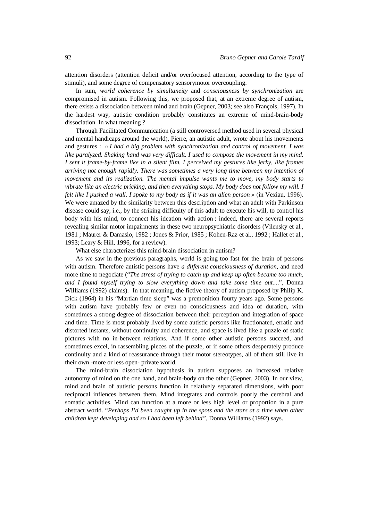attention disorders (attention deficit and/or overfocused attention, according to the type of stimuli), and some degree of compensatory sensorymotor overcoupling.

In sum, *world coherence by simultaneity* and *consciousness by synchronization* are compromised in autism. Following this, we proposed that, at an extreme degree of autism, there exists a dissociation between mind and brain (Gepner, 2003; see also François, 1997). In the hardest way, autistic condition probably constitutes an extreme of mind-brain-body dissociation. In what meaning ?

Through Facilitated Communication (a still controversed method used in several physical and mental handicaps around the world), Pierre, an autistic adult, wrote about his movements and gestures : *« I had a big problem with synchronization and control of movement. I was like paralyzed. Shaking hand was very difficult. I used to compose the movement in my mind. I sent it frame-by-frame like in a silent film. I perceived my gestures like jerky, like frames arriving not enough rapidly. There was sometimes a very long time between my intention of movement and its realization. The mental impulse wants me to move, my body starts to vibrate like an electric pricking, and then everything stops. My body does not follow my will. I felt like I pushed a wall. I spoke to my body as if it was an alien person »* (in Vexiau, 1996). We were amazed by the similarity between this description and what an adult with Parkinson disease could say, i.e., by the striking difficulty of this adult to execute his will, to control his body with his mind, to connect his ideation with action ; indeed, there are several reports revealing similar motor impairments in these two neuropsychiatric disorders (Vilensky et al., 1981 ; Maurer & Damasio, 1982 ; Jones & Prior, 1985 ; Kohen-Raz et al., 1992 ; Hallet et al., 1993; Leary & Hill, 1996, for a review).

What else characterizes this mind-brain dissociation in autism?

As we saw in the previous paragraphs, world is going too fast for the brain of persons with autism. Therefore autistic persons have *a different consciousness of duration*, and need more time to negociate ("*The stress of trying to catch up and keep up often became too much, and I found myself trying to slow everything down and take some time out...*.", Donna Williams (1992) claims). In that meaning, the fictive theory of autism proposed by Philip K. Dick (1964) in his "Martian time sleep" was a premonition fourty years ago. Some persons with autism have probably few or even no consciousness and idea of duration, with sometimes a strong degree of dissociation between their perception and integration of space and time. Time is most probably lived by some autistic persons like fractionated, erratic and distorted instants, without continuity and coherence, and space is lived like a puzzle of static pictures with no in-between relations. And if some other autistic persons succeed, and sometimes excel, in rassembling pieces of the puzzle, or if some others desperately produce continuity and a kind of reassurance through their motor stereotypes, all of them still live in their own -more or less open- private world.

The mind-brain dissociation hypothesis in autism supposes an increased relative autonomy of mind on the one hand, and brain-body on the other (Gepner, 2003). In our view, mind and brain of autistic persons function in relatively separated dimensions, with poor reciprocal inflences between them. Mind integrates and controls poorly the cerebral and somatic activities. Mind can function at a more or less high level or proportion in a pure abstract world. "*Perhaps I'd been caught up in the spots and the stars at a time when other children kept developing and so I had been left behind",* Donna Williams (1992) says.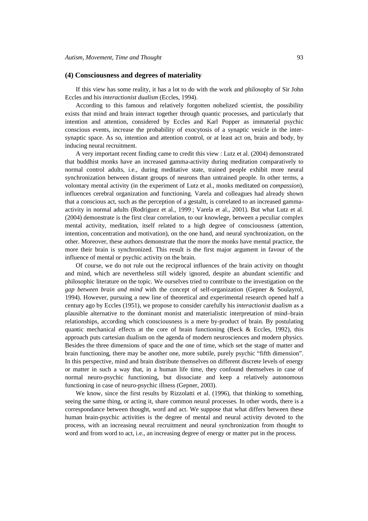#### **(4) Consciousness and degrees of materiality**

If this view has some reality, it has a lot to do with the work and philosophy of Sir John Eccles and his *interactionist dualism* (Eccles, 1994).

According to this famous and relatively forgotten nobelized scientist, the possibility exists that mind and brain interact together through quantic processes, and particularly that intention and attention, considered by Eccles and Karl Popper as immaterial psychic conscious events, increase the probability of exocytosis of a synaptic vesicle in the intersynaptic space. As so, intention and attention control, or at least act on, brain and body, by inducing neural recruitment.

A very important recent finding came to credit this view : Lutz et al. (2004) demonstrated that buddhist monks have an increased gamma-activity during meditation comparatively to normal control adults, i.e., during meditative state, trained people exhibit more neural synchronization between distant groups of neurons than untrained people. In other terms, a volontary mental activity (in the experiment of Lutz et al., monks meditated on *compassion*), influences cerebral organization and functioning. Varela and colleagues had already shown that a conscious act, such as the perception of a gestaltt, is correlated to an increased gammaactivity in normal adults (Rodriguez et al., 1999 ; Varela et al., 2001). But what Lutz et al. (2004) demonstrate is the first clear correlation, to our knowlege, between a peculiar complex mental activity, meditation, itself related to a high degree of consciousness (attention, intention, concentration and motivation), on the one hand, and neural synchronization, on the other. Moreover, these authors demonstrate that the more the monks have mental practice, the more their brain is synchronized. This result is the first major argument in favour of the influence of mental or psychic activity on the brain.

Of course, we do not rule out the reciprocal influences of the brain activity on thought and mind, which are nevertheless still widely ignored, despite an abundant scientific and philosophic literature on the topic. We ourselves tried to contribute to the investigation on the *gap between brain and mind* with the concept of self-organization (Gepner & Soulayrol, 1994). However, pursuing a new line of theoretical and experimental research opened half a century ago by Eccles (1951), we propose to consider carefully his *interactionist dualism* as a plausible alternative to the dominant monist and materialistic interpretation of mind–brain relationships, according which consciousness is a mere by-product of brain. By postulating quantic mechanical effects at the core of brain functioning (Beck  $&$  Eccles, 1992), this approach puts cartesian dualism on the agenda of modern neurosciences and modern physics. Besides the three dimensions of space and the one of time, which set the stage of matter and brain functioning, there may be another one, more subtile, purely psychic "fifth dimension". In this perspective, mind and brain distribute themselves on different discrete levels of energy or matter in such a way that, in a human life time, they confound themselves in case of normal neuro-psychic functioning, but dissociate and keep a relatively autonomous functioning in case of neuro-psychic illness (Gepner, 2003).

We know, since the first results by Rizzolatti et al. (1996), that thinking to something, seeing the same thing, or acting it, share common neural processes. In other words, there is a correspondance between thought, word and act. We suppose that what differs between these human brain-psychic activities is the degree of mental and neural activity devoted to the process, with an increasing neural recruitment and neural synchronization from thought to word and from word to act, i.e., an increasing degree of energy or matter put in the process.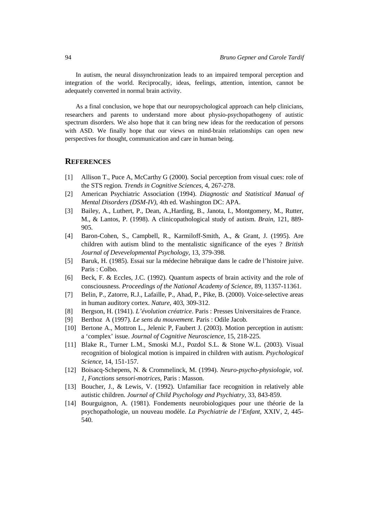In autism, the neural dissynchronization leads to an impaired temporal perception and integration of the world. Reciprocally, ideas, feelings, attention, intention, cannot be adequately converted in normal brain activity.

As a final conclusion, we hope that our neuropsychological approach can help clinicians, researchers and parents to understand more about physio-psychopathogeny of autistic spectrum disorders. We also hope that it can bring new ideas for the reeducation of persons with ASD. We finally hope that our views on mind-brain relationships can open new perspectives for thought, communication and care in human being.

# **REFERENCES**

- [1] Allison T., Puce A, McCarthy G (2000). Social perception from visual cues: role of the STS region. *Trends in Cognitive Sciences*, 4, 267-278.
- [2] American Psychiatric Association (1994). *Diagnostic and Statistical Manual of Mental Disorders (DSM-IV)*, 4th ed. Washington DC: APA.
- [3] Bailey, A., Luthert, P., Dean, A.,Harding, B., Janota, I., Montgomery, M., Rutter, M., & Lantos, P. (1998). A clinicopathological study of autism. *Brain*, 121, 889- 905.
- [4] Baron-Cohen, S., Campbell, R., Karmiloff-Smith, A., & Grant, J. (1995). Are children with autism blind to the mentalistic significance of the eyes ? *British Journal of Devevelopmental Psychology*, 13, 379-398.
- [5] Baruk, H. (1985). Essai sur la médecine hébraïque dans le cadre de l'histoire juive. Paris : Colbo.
- [6] Beck, F. & Eccles, J.C. (1992). Quantum aspects of brain activity and the role of consciousness. *Proceedings of the National Academy of Science*, 89, 11357-11361.
- [7] Belin, P., Zatorre, R.J., Lafaille, P., Ahad, P., Pike, B. (2000). Voice-selective areas in human auditory cortex. *Nature*, 403, 309-312.
- [8] Bergson, H. (1941). *L'évolution créatrice*. Paris : Presses Universitaires de France.
- [9] Berthoz A (1997). *Le sens du mouvement*. Paris : Odile Jacob.
- [10] Bertone A., Mottron L., Jelenic P, Faubert J. (2003). Motion perception in autism: a 'complex' issue. *Journal of Cognitive Neuroscience*, 15, 218-225.
- [11] Blake R., Turner L.M., Smoski M.J., Pozdol S.L. & Stone W.L. (2003). Visual recognition of biological motion is impaired in children with autism. *Psychological Science*, 14, 151-157.
- [12] Boisacq-Schepens, N. & Crommelinck, M. (1994). *Neuro-psycho-physiologie, vol. 1, Fonctions sensori-motrices*, Paris : Masson.
- [13] Boucher, J., & Lewis, V. (1992). Unfamiliar face recognition in relatively able autistic children. *Journal of Child Psychology and Psychiatry*, 33, 843-859.
- [14] Bourguignon, A. (1981). Fondements neurobiologiques pour une théorie de la psychopathologie, un nouveau modèle. *La Psychiatrie de l'Enfant*, XXIV, 2, 445- 540.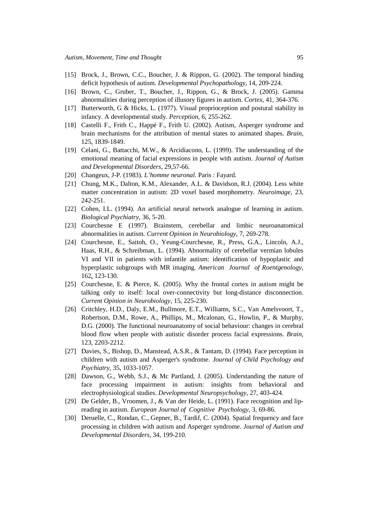- [15] Brock, J., Brown, C.C., Boucher, J. & Rippon, G. (2002). The temporal binding deficit hypothesis of autism. *Developmental Psychopathology*, 14, 209-224.
- [16] Brown, C., Gruber, T., Boucher, J., Rippon, G., & Brock, J. (2005). Gamma abnormalities during perception of illusory figures in autism. *Cortex*, 41, 364-376.
- [17] Butterworth, G & Hicks, L. (1977). Visual proprioception and postural stability in infancy. A developmental study. *Perception*, 6, 255-262.
- [18] Castelli F., Frith C., Happé F., Frith U. (2002). Autism, Asperger syndrome and brain mechanisms for the attribution of mental states to animated shapes. *Brain*, 125, 1839-1849.
- [19] Celani, G., Battacchi, M.W., & Arcidiacono, L. (1999). The understanding of the emotional meaning of facial expressions in people with autism. *Journal of Autism and Developmental Disorders*, 29,57-66.
- [20] Changeux, J-P. (1983). *L'homme neuronal*. Paris : Fayard.
- [21] Chung, M.K., Dalton, K.M., Alexander, A.L. & Davidson, R.J. (2004). Less white matter concentration in autism: 2D voxel based morphometry. *Neuroimage*, 23, 242-251.
- [22] Cohen, I.L. (1994). An artificial neural network analogue of learning in autism. *Biological Psychiatry*, 36, 5-20.
- [23] Courchesne E (1997). Brainstem, cerebellar and limbic neuroanatomical abnormalities in autism. *Current Opinion in Neurobiology*, 7, 269-278.
- [24] Courchesne, E., Saitoh, O., Yeung-Courchesne, R., Press, G.A., Lincoln, A.J., Haas, R.H., & Schreibman, L. (1994). Abnormality of cerebellar vermian lobules VI and VII in patients with infantile autism: identification of hypoplastic and hyperplastic subgroups with MR imaging. *American Journal of Roentgenology*, 162, 123-130.
- [25] Courchesne, E. & Pierce, K. (2005). Why the frontal cortex in autism might be talking only to itself: local over-connectivity but long-distance disconnection. *Current Opinion in Neurobiology*, 15, 225-230.
- [26] Critchley, H.D., Daly, E.M., Bullmore, E.T., Williams, S.C., Van Amelsvoort, T., Robertson, D.M., Rowe, A., Phillips, M., Mcalonan, G., Howlin, P., & Murphy, D.G. (2000). The functional neuroanatomy of social behaviour: changes in cerebral blood flow when people with autistic disorder process facial expressions. *Brain*, 123, 2203-2212.
- [27] Davies, S., Bishop, D., Manstead, A.S.R., & Tantam, D. (1994). Face perception in children with autism and Asperger's syndrome. *Journal of Child Psychology and Psychiatry*, 35, 1033-1057.
- [28] Dawson, G., Webb, S.J., & Mc Partland, J. (2005). Understanding the nature of face processing impairment in autism: insights from behavioral and electrophysiological studies. *Developmental Neuropsychology*, 27, 403-424.
- [29] De Gelder, B., Vroomen, J., & Van der Heide, L. (1991). Face recognition and lipreading in autism. *European Journal of Cognitive Psychology*, 3, 69-86.
- [30] Deruelle, C., Rondan, C., Gepner, B., Tardif, C. (2004). Spatial frequency and face processing in children with autism and Asperger syndrome. *Journal of Autism and Developmental Disorders,* 34, 199-210.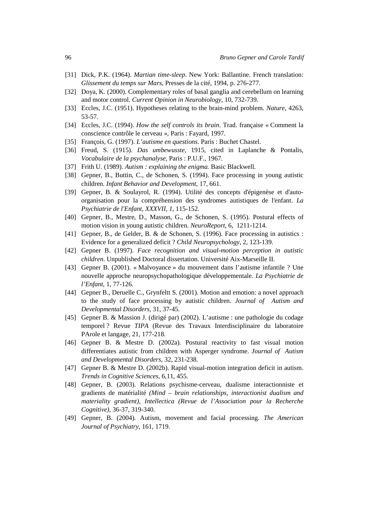- [31] Dick, P.K. (1964). *Martian time-sleep*. New York: Ballantine. French translation: *Glissement du temps sur Mars*, Presses de la cité, 1994, p. 276-277.
- [32] Doya, K. (2000). Complementary roles of basal ganglia and cerebellum on learning and motor control. *Current Opinion in Neurobiology*, 10, 732-739.
- [33] Eccles, J.C. (1951). Hypotheses relating to the brain-mind problem. *Nature*, 4263, 53-57.
- [34] Eccles, J.C. (1994). *How the self controls its brain*. Trad. française « Comment la conscience contrôle le cerveau », Paris : Fayard, 1997.
- [35] François, G. (1997). *L'autisme en questions*. Paris : Buchet Chastel.
- [36] Freud, S. (1915). *Das umbewusste*, 1915, cited in Laplanche & Pontalis, *Vocabulaire de la psychanalyse*, Paris : P.U.F., 1967.
- [37] Frith U. (1989). *Autism : explaining the enigma.* Basic Blackwell.
- [38] Gepner, B., Buttin, C., de Schonen, S. (1994). Face processing in young autistic children. *Infant Behavior and Development*, 17, 661.
- [39] Gepner, B. & Soulayrol, R. (1994). Utilité des concepts d'épigenèse et d'autoorganisation pour la compréhension des syndromes autistiques de l'enfant. *La Psychiatrie de l'Enfant, XXXVII, 1,* 115-152.
- [40] Gepner, B., Mestre, D., Masson, G., de Schonen, S. (1995). Postural effects of motion vision in young autistic children. *NeuroReport*, 6, 1211-1214.
- [41] Gepner, B., de Gelder, B. & de Schonen, S. (1996). Face processing in autistics : Evidence for a generalized deficit ? *Child Neuropsychology*, 2, 123-139.
- [42] Gepner B. (1997). *Face recognition and visual-motion perception in autistic children*. Unpublished Doctoral dissertation. Université Aix-Marseille II.
- [43] Gepner B. (2001). « Malvoyance » du mouvement dans l'autisme infantile ? Une nouvelle approche neuropsychopathologique développementale. *La Psychiatrie de l'Enfant*, 1, 77-126.
- [44] Gepner B., Deruelle C., Grynfeltt S. (2001). Motion and emotion: a novel approach to the study of face processing by autistic children. *Journal of Autism and Developmental Disorders*, 31, 37-45.
- [45] Gepner B. & Massion J. (dirigé par) (2002). L'autisme : une pathologie du codage temporel ? Revue *TIPA* (Revue des Travaux Interdisciplinaire du laboratoire PArole et langage, 21, 177-218.
- [46] Gepner B. & Mestre D. (2002a). Postural reactivity to fast visual motion differentiates autistic from children with Asperger syndrome. *Journal of Autism and Developmental Disorders*, 32, 231-238.
- [47] Gepner B. & Mestre D. (2002b). Rapid visual-motion integration deficit in autism. *Trends in Cognitive Sciences*, 6,11, 455.
- [48] Gepner, B. (2003). Relations psychisme-cerveau, dualisme interactionniste et gradients de matérialité *(Mind – brain relationships, interactionist dualism and materiality gradient)*, *Intellectica (Revue de l'Association pour la Recherche Cognitive),* 36-37, 319-340.
- [49] Gepner, B. (2004). Autism, movement and facial processing. *The American Journal of Psychiatry,* 161, 1719.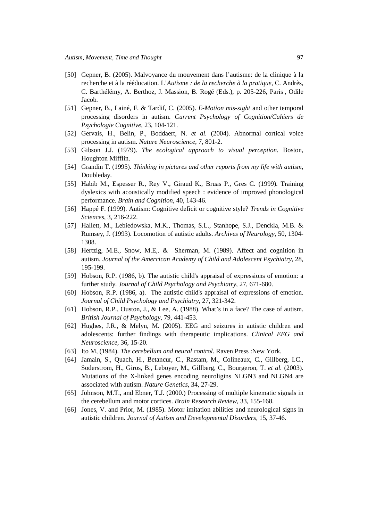- [50] Gepner, B. (2005). Malvoyance du mouvement dans l'autisme: de la clinique à la recherche et à la rééducation. L'*Autisme : de la recherche à la pratique*, C. Andrès, C. Barthélémy, A. Berthoz, J. Massion, B. Rogé (Eds.), p. 205-226, Paris , Odile Jacob.
- [51] Gepner, B., Lainé, F. & Tardif, C. (2005). *E-Motion mis-sight* and other temporal processing disorders in autism. *Current Psychology of Cognition/Cahiers de Psychologie Cognitive,* 23, 104-121.
- [52] Gervais, H., Belin, P., Boddaert, N. *et al.* (2004). Abnormal cortical voice processing in autism. *Nature Neuroscience*, 7, 801-2.
- [53] Gibson J.J. (1979). *The ecological approach to visual perception*. Boston, Houghton Mifflin.
- [54] Grandin T. (1995). *Thinking in pictures and other reports from my life with autism*, Doubleday.
- [55] Habib M., Espesser R., Rey V., Giraud K., Bruas P., Gres C. (1999). Training dyslexics with acoustically modified speech : evidence of improved phonological performance. *Brain and Cognition*, 40, 143-46.
- [56] Happé F. (1999). Autism: Cognitive deficit or cognitive style? *Trends in Cognitive Sciences*, 3, 216-222.
- [57] Hallett, M., Lebiedowska, M.K., Thomas, S.L., Stanhope, S.J., Denckla, M.B. & Rumsey, J. (1993). Locomotion of autistic adults. *Archives of Neurology*, 50, 1304- 1308.
- [58] Hertzig, M.E., Snow, M.E,. & Sherman, M. (1989). Affect and cognition in autism. *Journal of the Amercican Academy of Child and Adolescent Psychiatry*, 28, 195-199.
- [59] Hobson, R.P. (1986, b). The autistic child's appraisal of expressions of emotion: a further study. *Journal of Child Psychology and Psychiatry*, 27, 671-680.
- [60] Hobson, R.P. (1986, a). The autistic child's appraisal of expressions of emotion. *Journal of Child Psychology and Psychiatry*, 27, 321-342.
- [61] Hobson, R.P., Ouston, J., & Lee, A. (1988). What's in a face? The case of autism. *British Journal of Psychology*, 79, 441-453.
- [62] Hughes, J.R., & Melyn, M. (2005). EEG and seizures in autistic children and adolescents: further findings with therapeutic implications. *Clinical EEG and Neuroscience*, 36, 15-20.
- [63] Ito M, (1984). *The cerebellum and neural control*. Raven Press :New York.
- [64] Jamain, S., Quach, H., Betancur, C., Rastam, M., Colineaux, C., Gillberg, I.C., Soderstrom, H., Giros, B., Leboyer, M., Gillberg, C., Bourgeron, T. *et al.* (2003). Mutations of the X-linked genes encoding neuroligins NLGN3 and NLGN4 are associated with autism. *Nature Genetics*, 34, 27-29.
- [65] Johnson, M.T., and Ebner, T.J. (2000.) Processing of multiple kinematic signals in the cerebellum and motor cortices. *Brain Research Review*, 33, 155-168.
- [66] Jones, V. and Prior, M. (1985). Motor imitation abilities and neurological signs in autistic children. *Journal of Autism and Developmental Disorders,* 15, 37-46.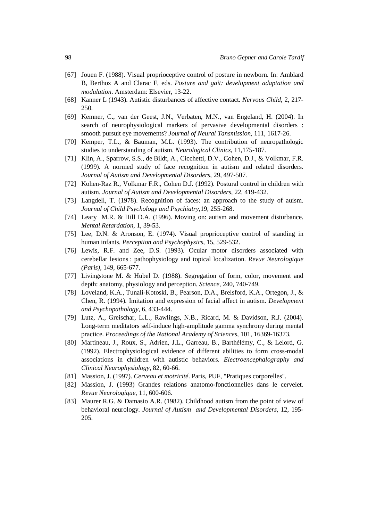- [67] Jouen F. (1988). Visual proprioceptive control of posture in newborn. In: Amblard B, Berthoz A and Clarac F, eds. *Posture and gait: development adaptation and modulation*. Amsterdam: Elsevier, 13-22.
- [68] Kanner L (1943). Autistic disturbances of affective contact. *Nervous Child*, 2, 217- 250.
- [69] Kemner, C., van der Geest, J.N., Verbaten, M.N., van Engeland, H. (2004). In search of neurophysiological markers of pervasive developmental disorders : smooth pursuit eye movements? *Journal of Neural Tansmission*, 111, 1617-26.
- [70] Kemper, T.L., & Bauman, M.L. (1993). The contribution of neuropathologic studies to understanding of autism. *Neurological Clinics*, 11,175-187.
- [71] Klin, A., Sparrow, S.S., de Bildt, A., Cicchetti, D.V., Cohen, D.J., & Volkmar, F.R. (1999). A normed study of face recognition in autism and related disorders. *Journal of Autism and Developmental Disorders*, 29, 497-507.
- [72] Kohen-Raz R., Volkmar F.R., Cohen D.J. (1992). Postural control in children with autism. *Journal of Autism and Developmental Disorders,* 22, 419-432.
- [73] Langdell, T. (1978). Recognition of faces: an approach to the study of auism. *Journal of Child Psychology and Psychiatry*,19, 255-268.
- [74] Leary M.R. & Hill D.A. (1996). Moving on: autism and movement disturbance. *Mental Retardation*, 1, 39-53.
- [75] Lee, D.N. & Aronson, E. (1974). Visual proprioceptive control of standing in human infants. *Perception and Psychophysics*, 15, 529-532.
- [76] Lewis, R.F. and Zee, D.S. (1993). Ocular motor disorders associated with cerebellar lesions : pathophysiology and topical localization. *Revue Neurologique (Paris),* 149, 665-677.
- [77] Livingstone M. & Hubel D. (1988). Segregation of form, color, movement and depth: anatomy, physiology and perception. *Science,* 240, 740-749.
- [78] Loveland, K.A., Tunali-Kotoski, B., Pearson, D.A., Brelsford, K.A., Ortegon, J., & Chen, R. (1994). Imitation and expression of facial affect in autism. *Development and Psychopathology*, 6, 433-444.
- [79] Lutz, A., Greischar, L.L., Rawlings, N.B., Ricard, M. & Davidson, R.J. (2004). Long-term meditators self-induce high-amplitude gamma synchrony during mental practice. *Proceedings of the National Academy of Sciences*, 101, 16369-16373.
- [80] Martineau, J., Roux, S., Adrien, J.L., Garreau, B., Barthélémy, C., & Lelord, G. (1992). Electrophysiological evidence of different abilities to form cross-modal associations in children with autistic behaviors. *Electroencephalography and Clinical Neurophysiology*, 82, 60-66.
- [81] Massion, J. (1997). *Cerveau et motricité*. Paris, PUF, "Pratiques corporelles".
- [82] Massion, J. (1993) Grandes relations anatomo-fonctionnelles dans le cervelet. *Revue Neurologique*, 11, 600-606.
- [83] Maurer R.G. & Damasio A.R. (1982). Childhood autism from the point of view of behavioral neurology. *Journal of Autism and Developmental Disorders,* 12, 195- 205.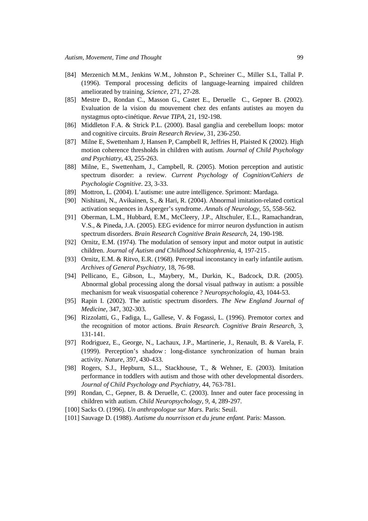- [84] Merzenich M.M., Jenkins W.M., Johnston P., Schreiner C., Miller S.L, Tallal P. (1996). Temporal processing deficits of language-learning impaired children ameliorated by training, *Science*, 271, 27-28.
- [85] Mestre D., Rondan C., Masson G., Castet E., Deruelle C., Gepner B. (2002). Evaluation de la vision du mouvement chez des enfants autistes au moyen du nystagmus opto-cinétique. *Revue TIPA*, 21, 192-198.
- [86] Middleton F.A. & Strick P.L. (2000). Basal ganglia and cerebellum loops: motor and cognitive circuits. *Brain Research Review*, 31, 236-250.
- [87] Milne E, Swettenham J, Hansen P, Campbell R, Jeffries H, Plaisted K (2002). High motion coherence thresholds in children with autism. *Journal of Child Psychology and Psychiatry*, 43, 255-263.
- [88] Milne, E., Swettenham, J., Campbell, R. (2005). Motion perception and autistic spectrum disorder: a review. *Current Psychology of Cognition/Cahiers de Psychologie Cognitive*. 23, 3-33.
- [89] Mottron, L. (2004). L'autisme: une autre intelligence. Sprimont: Mardaga.
- [90] Nishitani, N., Avikainen, S., & Hari, R. (2004). Abnormal imitation-related cortical activation sequences in Asperger's syndrome. *Annals of Neurology*, 55, 558-562.
- [91] Oberman, L.M., Hubbard, E.M., McCleery, J.P., Altschuler, E.L., Ramachandran, V.S., & Pineda, J.A. (2005). EEG evidence for mirror neuron dysfunction in autism spectrum disorders. *Brain Research Cognitive Brain Research*, 24, 190-198.
- [92] Ornitz, E.M. (1974). The modulation of sensory input and motor output in autistic children. *Journal of Autism and Childhood Schizophrenia*, 4, 197-215 .
- [93] Ornitz, E.M. & Ritvo, E.R. (1968). Perceptual inconstancy in early infantile autism. *Archives of General Psychiatry*, 18, 76-98.
- [94] Pellicano, E., Gibson, L., Maybery, M., Durkin, K., Badcock, D.R. (2005). Abnormal global processing along the dorsal visual pathway in autism: a possible mechanism for weak visuospatial coherence ? *Neuropsychologia*, 43, 1044-53.
- [95] Rapin I. (2002). The autistic spectrum disorders. *The New England Journal of Medicine*, 347, 302-303.
- [96] Rizzolatti, G., Fadiga, L., Gallese, V. & Fogassi, L. (1996). Premotor cortex and the recognition of motor actions. *Brain Research. Cognitive Brain Research*, 3, 131-141.
- [97] Rodriguez, E., George, N., Lachaux, J.P., Martinerie, J., Renault, B. & Varela, F. (1999). Perception's shadow : long-distance synchronization of human brain activity. *Nature*, 397, 430-433.
- [98] Rogers, S.J., Hepburn, S.L., Stackhouse, T., & Wehner, E. (2003). Imitation performance in toddlers with autism and those with other developmental disorders. *Journal of Child Psychology and Psychiatry*, 44, 763-781.
- [99] Rondan, C., Gepner, B. & Deruelle, C. (2003). Inner and outer face processing in children with autism. *Child Neuropsychology, 9,* 4, 289-297.
- [100] Sacks O. (1996). *Un anthropologue sur Mars*. Paris: Seuil.
- [101] Sauvage D. (1988). *Autisme du nourrisson et du jeune enfant.* Paris: Masson.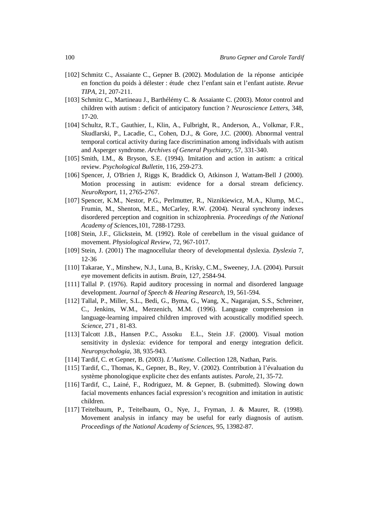- [102] Schmitz C., Assaiante C., Gepner B. (2002). Modulation de la réponse anticipée en fonction du poids à délester : étude chez l'enfant sain et l'enfant autiste. *Revue TIPA*, 21, 207-211.
- [103] Schmitz C., Martineau J., Barthélémy C. & Assaiante C. (2003). Motor control and children with autism : deficit of anticipatory function ? *Neuroscience Letters*, 348, 17-20.
- [104] Schultz, R.T., Gauthier, I., Klin, A., Fulbright, R., Anderson, A., Volkmar, F.R., Skudlarski, P., Lacadie, C., Cohen, D.J., & Gore, J.C. (2000). Abnormal ventral temporal cortical activity during face discrimination among individuals with autism and Asperger syndrome. *Archives of General Psychiatry*, 57, 331-340.
- [105] Smith, I.M., & Bryson, S.E. (1994). Imitation and action in autism: a critical review. *Psychological Bulletin*, 116, 259-273.
- [106] Spencer, J, O'Brien J, Riggs K, Braddick O, Atkinson J, Wattam-Bell J (2000). Motion processing in autism: evidence for a dorsal stream deficiency. *NeuroReport*, 11, 2765-2767.
- [107] Spencer, K.M., Nestor, P.G., Perlmutter, R., Niznikiewicz, M.A., Klump, M.C., Frumin, M., Shenton, M.E., McCarley, R.W. (2004). Neural synchrony indexes disordered perception and cognition in schizophrenia. *Proceedings of the National Academy of Sci*ences,101, 7288-17293.
- [108] Stein, J.F., Glickstein, M. (1992). Role of cerebellum in the visual guidance of movement. *Physiological Review*, 72, 967-1017.
- [109] Stein, J. (2001) The magnocellular theory of developmental dyslexia. *Dyslexia* 7, 12-36
- [110] Takarae, Y., Minshew, N.J., Luna, B., Krisky, C.M., Sweeney, J.A. (2004). Pursuit eye movement deficits in autism. *Brain*, 127, 2584-94.
- [111] Tallal P. (1976). Rapid auditory processing in normal and disordered language development. *Journal of Speech & Hearing Research*, 19, 561-594.
- [112] Tallal, P., Miller, S.L., Bedi, G., Byma, G., Wang, X., Nagarajan, S.S., Schreiner, C., Jenkins, W.M., Merzenich, M.M. (1996). Language comprehension in language-learning impaired children improved with acoustically modified speech. *Science*, 271 , 81-83.
- [113] Talcott J.B., Hansen P.C., Assoku E.L., Stein J.F. (2000). Visual motion sensitivity in dyslexia: evidence for temporal and energy integration deficit. *Neuropsychologia*, 38, 935-943.
- [114] Tardif, C. et Gepner, B. (2003). *L'Autisme.* Collection 128, Nathan, Paris.
- [115] Tardif, C., Thomas, K., Gepner, B., Rey, V. (2002). Contribution à l'évaluation du système phonologique explicite chez des enfants autistes. *Parol*e, 21, 35-72.
- [116] Tardif, C., Lainé, F., Rodriguez, M. & Gepner, B. (submitted). Slowing down facial movements enhances facial expression's recognition and imitation in autistic children.
- [117] Teitelbaum, P., Teitelbaum, O., Nye, J., Fryman, J. & Maurer, R. (1998). Movement analysis in infancy may be useful for early diagnosis of autism. *Proceedings of the National Academy of Sciences*, 95, 13982-87.